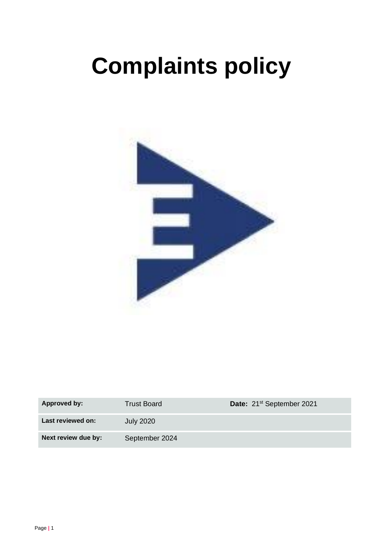# **Complaints policy**



| Approved by:        | Trust Board      | Date: 21 <sup>st</sup> September 2021 |
|---------------------|------------------|---------------------------------------|
| Last reviewed on:   | <b>July 2020</b> |                                       |
| Next review due by: | September 2024   |                                       |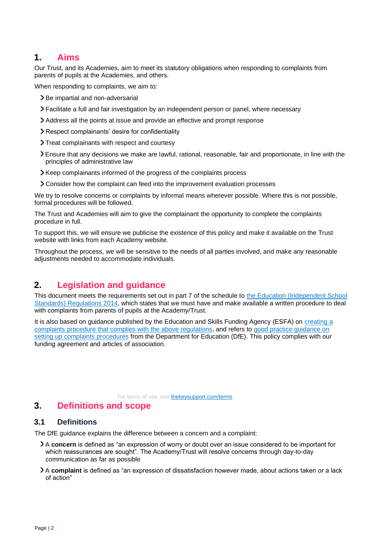### **1. Aims**

Our Trust, and its Academies, aim to meet its statutory obligations when responding to complaints from parents of pupils at the Academies, and others.

When responding to complaints, we aim to:

- > Be impartial and non-adversarial
- Facilitate a full and fair investigation by an independent person or panel, where necessary
- Address all the points at issue and provide an effective and prompt response
- Respect complainants' desire for confidentiality
- > Treat complainants with respect and courtesy
- Ensure that any decisions we make are lawful, rational, reasonable, fair and proportionate, in line with the principles of administrative law
- Keep complainants informed of the progress of the complaints process
- Consider how the complaint can feed into the improvement evaluation processes

We try to resolve concerns or complaints by informal means wherever possible. Where this is not possible, formal procedures will be followed.

The Trust and Academies will aim to give the complainant the opportunity to complete the complaints procedure in full.

To support this, we will ensure we publicise the existence of this policy and make it available on the Trust website with links from each Academy website.

Throughout the process, we will be sensitive to the needs of all parties involved, and make any reasonable adjustments needed to accommodate individuals.

# **2. Legislation and guidance**

This document meets the requirements set out in part 7 of the schedule t[o](http://www.legislation.gov.uk/uksi/2014/3283/schedule/made) [the](http://www.legislation.gov.uk/uksi/2014/3283/schedule/made) [Education](http://www.legislation.gov.uk/uksi/2014/3283/schedule/made) [\(Independent](http://www.legislation.gov.uk/uksi/2014/3283/schedule/made) [School](http://www.legislation.gov.uk/uksi/2014/3283/schedule/made) [Standards\)](http://www.legislation.gov.uk/uksi/2014/3283/schedule/made) [Regulations](http://www.legislation.gov.uk/uksi/2014/3283/schedule/made) [2014,](http://www.legislation.gov.uk/uksi/2014/3283/schedule/made) which states that we must have and make available a written procedure to deal with complaints from parents of pupils at the Academy/Trust.

It is also based on guidance published by the Education and Skills Funding Agency (ESFA) on [creating](https://www.gov.uk/government/publications/setting-up-an-academies-complaints-procedure) [a](https://www.gov.uk/government/publications/setting-up-an-academies-complaints-procedure) [complaints](https://www.gov.uk/government/publications/setting-up-an-academies-complaints-procedure) [procedure](https://www.gov.uk/government/publications/setting-up-an-academies-complaints-procedure) [that](https://www.gov.uk/government/publications/setting-up-an-academies-complaints-procedure) [complies](https://www.gov.uk/government/publications/setting-up-an-academies-complaints-procedure) [with](https://www.gov.uk/government/publications/setting-up-an-academies-complaints-procedure) [the](https://www.gov.uk/government/publications/setting-up-an-academies-complaints-procedure) [above](https://www.gov.uk/government/publications/setting-up-an-academies-complaints-procedure) [regulations,](https://www.gov.uk/government/publications/setting-up-an-academies-complaints-procedure) and refers to [good](https://www.gov.uk/government/publications/school-complaints-procedures) [practice](https://www.gov.uk/government/publications/school-complaints-procedures) [guidance](https://www.gov.uk/government/publications/school-complaints-procedures) [on](https://www.gov.uk/government/publications/school-complaints-procedures) [setting](https://www.gov.uk/government/publications/school-complaints-procedures) [up](https://www.gov.uk/government/publications/school-complaints-procedures) [complaints](https://www.gov.uk/government/publications/school-complaints-procedures) [procedures](https://www.gov.uk/government/publications/school-complaints-procedures) [f](https://www.gov.uk/government/publications/school-complaints-procedures)rom the Department for Education (DfE). This policy complies with our funding agreement and articles of association.

For [t](https://thekeysupport.com/terms-of-use)erms of use, visit **[thekeysupport.com/terms](https://thekeysupport.com/terms-of-use)** 

### **3. Definitions and scope**

### **3.1 Definitions**

The DfE guidance explains the difference between a concern and a complaint:

- A **concern** is defined as "an expression of worry or doubt over an issue considered to be important for which reassurances are sought". The Academy/Trust will resolve concerns through day-to-day communication as far as possible
- A **complaint** is defined as "an expression of dissatisfaction however made, about actions taken or a lack of action"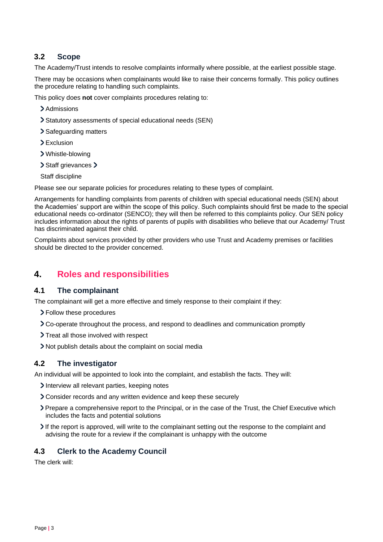### **3.2 Scope**

The Academy/Trust intends to resolve complaints informally where possible, at the earliest possible stage.

There may be occasions when complainants would like to raise their concerns formally. This policy outlines the procedure relating to handling such complaints.

This policy does **not** cover complaints procedures relating to:

- > Admissions
- Statutory assessments of special educational needs (SEN)
- > Safeguarding matters
- > Exclusion
- Whistle-blowing
- > Staff grievances >

Staff discipline

Please see our separate policies for procedures relating to these types of complaint.

Arrangements for handling complaints from parents of children with special educational needs (SEN) about the Academies' support are within the scope of this policy. Such complaints should first be made to the special educational needs co-ordinator (SENCO); they will then be referred to this complaints policy. Our SEN policy includes information about the rights of parents of pupils with disabilities who believe that our Academy/ Trust has discriminated against their child.

Complaints about services provided by other providers who use Trust and Academy premises or facilities should be directed to the provider concerned.

# **4. Roles and responsibilities**

### **4.1 The complainant**

The complainant will get a more effective and timely response to their complaint if they:

- > Follow these procedures
- Co-operate throughout the process, and respond to deadlines and communication promptly
- > Treat all those involved with respect
- Not publish details about the complaint on social media

### **4.2 The investigator**

An individual will be appointed to look into the complaint, and establish the facts. They will:

- Interview all relevant parties, keeping notes
- Consider records and any written evidence and keep these securely
- Prepare a comprehensive report to the Principal, or in the case of the Trust, the Chief Executive which includes the facts and potential solutions
- If the report is approved, will write to the complainant setting out the response to the complaint and advising the route for a review if the complainant is unhappy with the outcome

### **4.3 Clerk to the Academy Council**

The clerk will: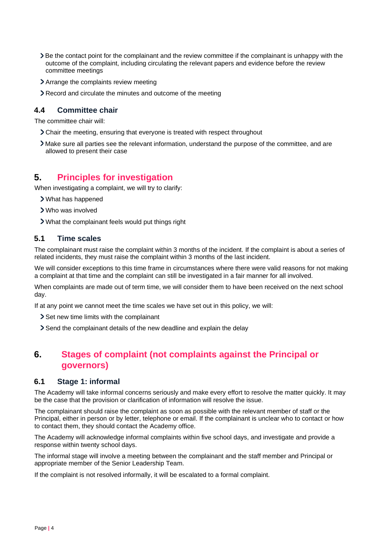- Be the contact point for the complainant and the review committee if the complainant is unhappy with the outcome of the complaint, including circulating the relevant papers and evidence before the review committee meetings
- > Arrange the complaints review meeting
- Record and circulate the minutes and outcome of the meeting

### **4.4 Committee chair**

The committee chair will:

- Chair the meeting, ensuring that everyone is treated with respect throughout
- Make sure all parties see the relevant information, understand the purpose of the committee, and are allowed to present their case

# **5. Principles for investigation**

When investigating a complaint, we will try to clarify:

- What has happened
- Who was involved
- What the complainant feels would put things right

### **5.1 Time scales**

The complainant must raise the complaint within 3 months of the incident. If the complaint is about a series of related incidents, they must raise the complaint within 3 months of the last incident.

We will consider exceptions to this time frame in circumstances where there were valid reasons for not making a complaint at that time and the complaint can still be investigated in a fair manner for all involved.

When complaints are made out of term time, we will consider them to have been received on the next school day.

If at any point we cannot meet the time scales we have set out in this policy, we will:

- Set new time limits with the complainant
- Send the complainant details of the new deadline and explain the delay

# **6. Stages of complaint (not complaints against the Principal or governors)**

### **6.1 Stage 1: informal**

The Academy will take informal concerns seriously and make every effort to resolve the matter quickly. It may be the case that the provision or clarification of information will resolve the issue.

The complainant should raise the complaint as soon as possible with the relevant member of staff or the Principal, either in person or by letter, telephone or email. If the complainant is unclear who to contact or how to contact them, they should contact the Academy office.

The Academy will acknowledge informal complaints within five school days, and investigate and provide a response within twenty school days.

The informal stage will involve a meeting between the complainant and the staff member and Principal or appropriate member of the Senior Leadership Team.

If the complaint is not resolved informally, it will be escalated to a formal complaint.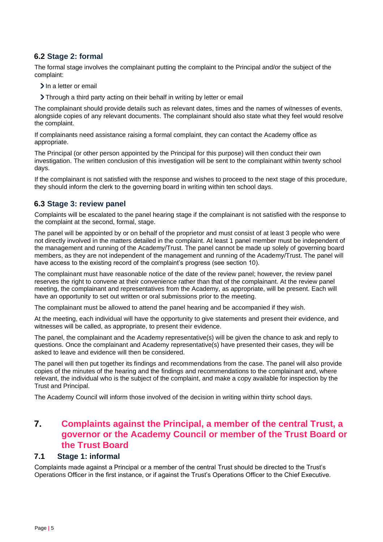### **6.2 Stage 2: formal**

The formal stage involves the complainant putting the complaint to the Principal and/or the subject of the complaint:

- > In a letter or email
- Through a third party acting on their behalf in writing by letter or email

The complainant should provide details such as relevant dates, times and the names of witnesses of events, alongside copies of any relevant documents. The complainant should also state what they feel would resolve the complaint.

If complainants need assistance raising a formal complaint, they can contact the Academy office as appropriate.

The Principal (or other person appointed by the Principal for this purpose) will then conduct their own investigation. The written conclusion of this investigation will be sent to the complainant within twenty school days.

If the complainant is not satisfied with the response and wishes to proceed to the next stage of this procedure, they should inform the clerk to the governing board in writing within ten school days.

### **6.3 Stage 3: review panel**

Complaints will be escalated to the panel hearing stage if the complainant is not satisfied with the response to the complaint at the second, formal, stage.

The panel will be appointed by or on behalf of the proprietor and must consist of at least 3 people who were not directly involved in the matters detailed in the complaint. At least 1 panel member must be independent of the management and running of the Academy/Trust. The panel cannot be made up solely of governing board members, as they are not independent of the management and running of the Academy/Trust. The panel will have access to the existing record of the complaint's progress (see section 10).

The complainant must have reasonable notice of the date of the review panel; however, the review panel reserves the right to convene at their convenience rather than that of the complainant. At the review panel meeting, the complainant and representatives from the Academy, as appropriate, will be present. Each will have an opportunity to set out written or oral submissions prior to the meeting.

The complainant must be allowed to attend the panel hearing and be accompanied if they wish.

At the meeting, each individual will have the opportunity to give statements and present their evidence, and witnesses will be called, as appropriate, to present their evidence.

The panel, the complainant and the Academy representative(s) will be given the chance to ask and reply to questions. Once the complainant and Academy representative(s) have presented their cases, they will be asked to leave and evidence will then be considered.

The panel will then put together its findings and recommendations from the case. The panel will also provide copies of the minutes of the hearing and the findings and recommendations to the complainant and, where relevant, the individual who is the subject of the complaint, and make a copy available for inspection by the Trust and Principal.

The Academy Council will inform those involved of the decision in writing within thirty school days.

# **7. Complaints against the Principal, a member of the central Trust, a governor or the Academy Council or member of the Trust Board or the Trust Board**

### **7.1 Stage 1: informal**

Complaints made against a Principal or a member of the central Trust should be directed to the Trust's Operations Officer in the first instance, or if against the Trust's Operations Officer to the Chief Executive.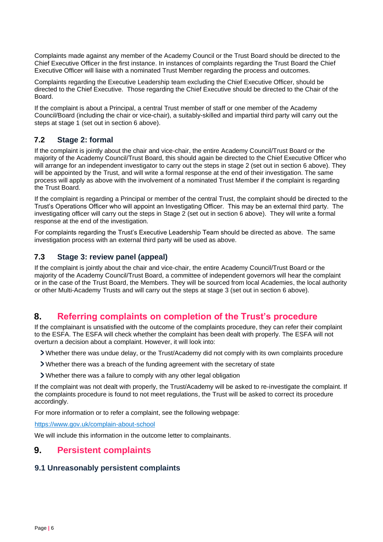Complaints made against any member of the Academy Council or the Trust Board should be directed to the Chief Executive Officer in the first instance. In instances of complaints regarding the Trust Board the Chief Executive Officer will liaise with a nominated Trust Member regarding the process and outcomes.

Complaints regarding the Executive Leadership team excluding the Chief Executive Officer, should be directed to the Chief Executive. Those regarding the Chief Executive should be directed to the Chair of the Board.

If the complaint is about a Principal, a central Trust member of staff or one member of the Academy Council/Board (including the chair or vice-chair), a suitably-skilled and impartial third party will carry out the steps at stage 1 (set out in section 6 above).

### **7.2 Stage 2: formal**

If the complaint is jointly about the chair and vice-chair, the entire Academy Council/Trust Board or the majority of the Academy Council/Trust Board, this should again be directed to the Chief Executive Officer who will arrange for an independent investigator to carry out the steps in stage 2 (set out in section 6 above). They will be appointed by the Trust, and will write a formal response at the end of their investigation. The same process will apply as above with the involvement of a nominated Trust Member if the complaint is regarding the Trust Board.

If the complaint is regarding a Principal or member of the central Trust, the complaint should be directed to the Trust's Operations Officer who will appoint an Investigating Officer. This may be an external third party. The investigating officer will carry out the steps in Stage 2 (set out in section 6 above). They will write a formal response at the end of the investigation.

For complaints regarding the Trust's Executive Leadership Team should be directed as above. The same investigation process with an external third party will be used as above.

### **7.3 Stage 3: review panel (appeal)**

If the complaint is jointly about the chair and vice-chair, the entire Academy Council/Trust Board or the majority of the Academy Council/Trust Board, a committee of independent governors will hear the complaint or in the case of the Trust Board, the Members. They will be sourced from local Academies, the local authority or other Multi-Academy Trusts and will carry out the steps at stage 3 (set out in section 6 above).

# **8. Referring complaints on completion of the Trust's procedure**

If the complainant is unsatisfied with the outcome of the complaints procedure, they can refer their complaint to the ESFA. The ESFA will check whether the complaint has been dealt with properly. The ESFA will not overturn a decision about a complaint. However, it will look into:

Whether there was undue delay, or the Trust/Academy did not comply with its own complaints procedure

- Whether there was a breach of the funding agreement with the secretary of state
- Whether there was a failure to comply with any other legal obligation

If the complaint was not dealt with properly, the Trust/Academy will be asked to re-investigate the complaint. If the complaints procedure is found to not meet regulations, the Trust will be asked to correct its procedure accordingly.

For more information or to refer a complaint, see the following webpage:

<https://www.gov.uk/complain-about-school>

We will include this information in the outcome letter to complainants.

# **9. Persistent complaints**

### **9.1 Unreasonably persistent complaints**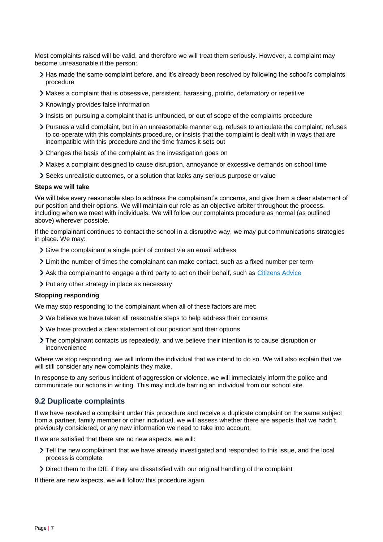Most complaints raised will be valid, and therefore we will treat them seriously. However, a complaint may become unreasonable if the person:

- Has made the same complaint before, and it's already been resolved by following the school's complaints procedure
- Makes a complaint that is obsessive, persistent, harassing, prolific, defamatory or repetitive
- > Knowingly provides false information
- Insists on pursuing a complaint that is unfounded, or out of scope of the complaints procedure
- Pursues a valid complaint, but in an unreasonable manner e.g. refuses to articulate the complaint, refuses to co-operate with this complaints procedure, or insists that the complaint is dealt with in ways that are incompatible with this procedure and the time frames it sets out
- Changes the basis of the complaint as the investigation goes on
- Makes a complaint designed to cause disruption, annoyance or excessive demands on school time
- Seeks unrealistic outcomes, or a solution that lacks any serious purpose or value

#### **Steps we will take**

We will take every reasonable step to address the complainant's concerns, and give them a clear statement of our position and their options. We will maintain our role as an objective arbiter throughout the process, including when we meet with individuals. We will follow our complaints procedure as normal (as outlined above) wherever possible.

If the complainant continues to contact the school in a disruptive way, we may put communications strategies in place. We may:

- Sive the complainant a single point of contact via an email address
- Limit the number of times the complainant can make contact, such as a fixed number per term
- Ask the complainant to engage a third party to act on their behalf, such as [Citizens Advice](https://www.citizensadvice.org.uk/)
- > Put any other strategy in place as necessary

#### **Stopping responding**

We may stop responding to the complainant when all of these factors are met:

- We believe we have taken all reasonable steps to help address their concerns
- We have provided a clear statement of our position and their options
- The complainant contacts us repeatedly, and we believe their intention is to cause disruption or inconvenience

Where we stop responding, we will inform the individual that we intend to do so. We will also explain that we will still consider any new complaints they make.

In response to any serious incident of aggression or violence, we will immediately inform the police and communicate our actions in writing. This may include barring an individual from our school site.

### **9.2 Duplicate complaints**

If we have resolved a complaint under this procedure and receive a duplicate complaint on the same subject from a partner, family member or other individual, we will assess whether there are aspects that we hadn't previously considered, or any new information we need to take into account.

If we are satisfied that there are no new aspects, we will:

- Tell the new complainant that we have already investigated and responded to this issue, and the local process is complete
- Direct them to the DfE if they are dissatisfied with our original handling of the complaint

If there are new aspects, we will follow this procedure again.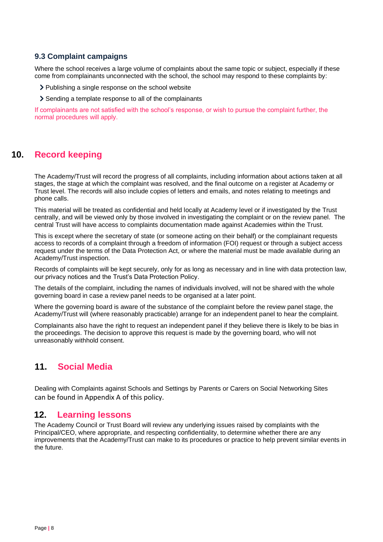### **9.3 Complaint campaigns**

Where the school receives a large volume of complaints about the same topic or subject, especially if these come from complainants unconnected with the school, the school may respond to these complaints by:

> Publishing a single response on the school website

Sending a template response to all of the complainants

If complainants are not satisfied with the school's response, or wish to pursue the complaint further, the normal procedures will apply.

# **10. Record keeping**

The Academy/Trust will record the progress of all complaints, including information about actions taken at all stages, the stage at which the complaint was resolved, and the final outcome on a register at Academy or Trust level. The records will also include copies of letters and emails, and notes relating to meetings and phone calls.

This material will be treated as confidential and held locally at Academy level or if investigated by the Trust centrally, and will be viewed only by those involved in investigating the complaint or on the review panel. The central Trust will have access to complaints documentation made against Academies within the Trust.

This is except where the secretary of state (or someone acting on their behalf) or the complainant requests access to records of a complaint through a freedom of information (FOI) request or through a subject access request under the terms of the Data Protection Act, or where the material must be made available during an Academy/Trust inspection.

Records of complaints will be kept securely, only for as long as necessary and in line with data protection law, our privacy notices and the Trust's Data Protection Policy.

The details of the complaint, including the names of individuals involved, will not be shared with the whole governing board in case a review panel needs to be organised at a later point.

Where the governing board is aware of the substance of the complaint before the review panel stage, the Academy/Trust will (where reasonably practicable) arrange for an independent panel to hear the complaint.

Complainants also have the right to request an independent panel if they believe there is likely to be bias in the proceedings. The decision to approve this request is made by the governing board, who will not unreasonably withhold consent.

# **11. Social Media**

Dealing with Complaints against Schools and Settings by Parents or Carers on Social Networking Sites can be found in Appendix A of this policy.

### **12. Learning lessons**

The Academy Council or Trust Board will review any underlying issues raised by complaints with the Principal/CEO, where appropriate, and respecting confidentiality, to determine whether there are any improvements that the Academy/Trust can make to its procedures or practice to help prevent similar events in the future.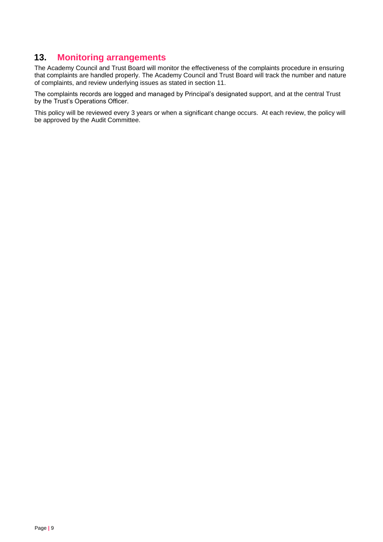# **13. Monitoring arrangements**

The Academy Council and Trust Board will monitor the effectiveness of the complaints procedure in ensuring that complaints are handled properly. The Academy Council and Trust Board will track the number and nature of complaints, and review underlying issues as stated in section 11.

The complaints records are logged and managed by Principal's designated support, and at the central Trust by the Trust's Operations Officer.

This policy will be reviewed every 3 years or when a significant change occurs. At each review, the policy will be approved by the Audit Committee.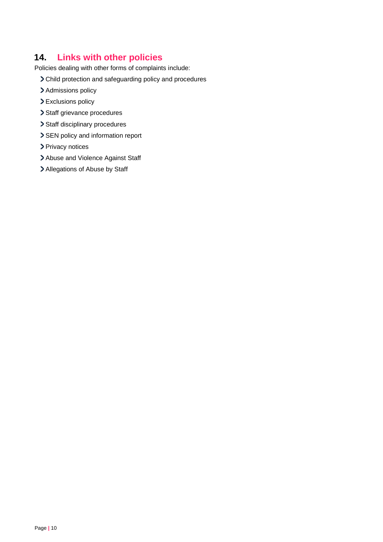# **14. Links with other policies**

Policies dealing with other forms of complaints include:

- Child protection and safeguarding policy and procedures
- > Admissions policy
- > Exclusions policy
- > Staff grievance procedures
- > Staff disciplinary procedures
- > SEN policy and information report
- > Privacy notices
- > Abuse and Violence Against Staff
- > Allegations of Abuse by Staff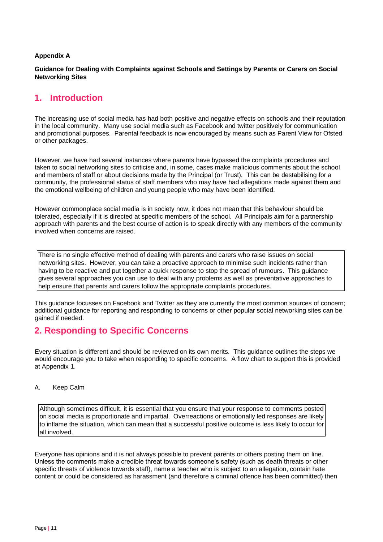### **Appendix A**

**Guidance for Dealing with Complaints against Schools and Settings by Parents or Carers on Social Networking Sites**

# **1. Introduction**

The increasing use of social media has had both positive and negative effects on schools and their reputation in the local community. Many use social media such as Facebook and twitter positively for communication and promotional purposes. Parental feedback is now encouraged by means such as Parent View for Ofsted or other packages.

However, we have had several instances where parents have bypassed the complaints procedures and taken to social networking sites to criticise and, in some, cases make malicious comments about the school and members of staff or about decisions made by the Principal (or Trust). This can be destabilising for a community, the professional status of staff members who may have had allegations made against them and the emotional wellbeing of children and young people who may have been identified.

However commonplace social media is in society now, it does not mean that this behaviour should be tolerated, especially if it is directed at specific members of the school. All Principals aim for a partnership approach with parents and the best course of action is to speak directly with any members of the community involved when concerns are raised.

There is no single effective method of dealing with parents and carers who raise issues on social networking sites. However, you can take a proactive approach to minimise such incidents rather than having to be reactive and put together a quick response to stop the spread of rumours. This guidance gives several approaches you can use to deal with any problems as well as preventative approaches to help ensure that parents and carers follow the appropriate complaints procedures.

This guidance focusses on Facebook and Twitter as they are currently the most common sources of concern; additional guidance for reporting and responding to concerns or other popular social networking sites can be gained if needed.

# **2. Responding to Specific Concerns**

Every situation is different and should be reviewed on its own merits. This guidance outlines the steps we would encourage you to take when responding to specific concerns. A flow chart to support this is provided at Appendix 1.

### A. Keep Calm

Although sometimes difficult, it is essential that you ensure that your response to comments posted on social media is proportionate and impartial. Overreactions or emotionally led responses are likely to inflame the situation, which can mean that a successful positive outcome is less likely to occur for all involved.

Everyone has opinions and it is not always possible to prevent parents or others posting them on line. Unless the comments make a credible threat towards someone's safety (such as death threats or other specific threats of violence towards staff), name a teacher who is subject to an allegation, contain hate content or could be considered as harassment (and therefore a criminal offence has been committed) then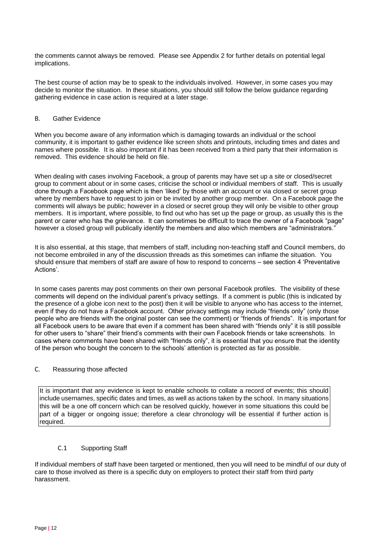the comments cannot always be removed. Please see Appendix 2 for further details on potential legal implications.

The best course of action may be to speak to the individuals involved. However, in some cases you may decide to monitor the situation. In these situations, you should still follow the below guidance regarding gathering evidence in case action is required at a later stage.

#### B. Gather Evidence

When you become aware of any information which is damaging towards an individual or the school community, it is important to gather evidence like screen shots and printouts, including times and dates and names where possible. It is also important if it has been received from a third party that their information is removed. This evidence should be held on file.

When dealing with cases involving Facebook, a group of parents may have set up a site or closed/secret group to comment about or in some cases, criticise the school or individual members of staff. This is usually done through a Facebook page which is then 'liked' by those with an account or via closed or secret group where by members have to request to join or be invited by another group member. On a Facebook page the comments will always be public; however in a closed or secret group they will only be visible to other group members. It is important, where possible, to find out who has set up the page or group, as usually this is the parent or carer who has the grievance. It can sometimes be difficult to trace the owner of a Facebook "page" however a closed group will publically identify the members and also which members are "administrators."

It is also essential, at this stage, that members of staff, including non-teaching staff and Council members, do not become embroiled in any of the discussion threads as this sometimes can inflame the situation. You should ensure that members of staff are aware of how to respond to concerns – see section 4 'Preventative Actions'.

In some cases parents may post comments on their own personal Facebook profiles. The visibility of these comments will depend on the individual parent's privacy settings. If a comment is public (this is indicated by the presence of a globe icon next to the post) then it will be visible to anyone who has access to the internet, even if they do not have a Facebook account. Other privacy settings may include "friends only" (only those people who are friends with the original poster can see the comment) or "friends of friends". It is important for all Facebook users to be aware that even if a comment has been shared with "friends only" it is still possible for other users to "share" their friend's comments with their own Facebook friends or take screenshots. In cases where comments have been shared with "friends only", it is essential that you ensure that the identity of the person who bought the concern to the schools' attention is protected as far as possible.

### C. Reassuring those affected

It is important that any evidence is kept to enable schools to collate a record of events; this should include usernames, specific dates and times, as well as actions taken by the school. In many situations this will be a one off concern which can be resolved quickly, however in some situations this could be part of a bigger or ongoing issue; therefore a clear chronology will be essential if further action is required.

### C.1 Supporting Staff

If individual members of staff have been targeted or mentioned, then you will need to be mindful of our duty of care to those involved as there is a specific duty on employers to protect their staff from third party harassment.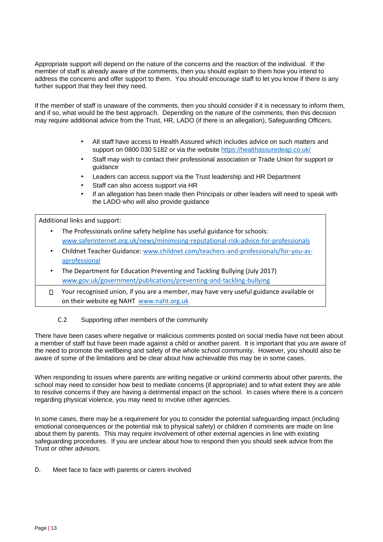Appropriate support will depend on the nature of the concerns and the reaction of the individual. If the member of staff is already aware of the comments, then you should explain to them how you intend to address the concerns and offer support to them. You should encourage staff to let you know if there is any further support that they feel they need.

If the member of staff is unaware of the comments, then you should consider if it is necessary to inform them, and if so, what would be the best approach. Depending on the nature of the comments, then this decision may require additional advice from the Trust, HR, LADO (if there is an allegation), Safeguarding Officers.

- All staff have access to Health Assured which includes advice on such matters and support on 0800 030 5182 or via the website <https://healthassuredeap.co.uk/>
- Staff may wish to contact their professional association or Trade Union for support or guidance
- Leaders can access support via the Trust leadership and HR Department
- Staff can also access support via HR
- If an allegation has been made then Principals or other leaders will need to speak with the LADO who will also provide guidance

Additional links and support:

- The Professionals online safety helpline has useful guidance for schools: [www.saferinternet.org.uk/news/minimising-reputational-risk-advice-for-professionals](http://www.saferinternet.org.uk/news/minimising-reputational-risk-advice-for-professionals)
- Childnet Teacher Guidance: [www.childnet.com/teachers-and-professionals/for-you-as](http://www.childnet.com/teachers-and-professionals/for-you-as-a-professional)[aprofessional](http://www.childnet.com/teachers-and-professionals/for-you-as-a-professional)
- The Department for Education Preventing and Tackling Bullying (July 2017) [www.gov.uk/government/publications/preventing-and-tackling-bullying](http://www.gov.uk/government/publications/preventing-and-tackling-bullying)
- Your recognised union, if you are a member, may have very useful guidance available or  $\Box$ on their website eg NAHT [www.naht.org.uk](http://www.naht.org.uk/)

### C.2 Supporting other members of the community

There have been cases where negative or malicious comments posted on social media have not been about a member of staff but have been made against a child or another parent. It is important that you are aware of the need to promote the wellbeing and safety of the whole school community. However, you should also be aware of some of the limitations and be clear about how achievable this may be in some cases.

When responding to issues where parents are writing negative or unkind comments about other parents, the school may need to consider how best to mediate concerns (if appropriate) and to what extent they are able to resolve concerns if they are having a detrimental impact on the school. In cases where there is a concern regarding physical violence, you may need to involve other agencies.

In some cases, there may be a requirement for you to consider the potential safeguarding impact (including emotional consequences or the potential risk to physical safety) or children if comments are made on line about them by parents. This may require involvement of other external agencies in line with existing safeguarding procedures. If you are unclear about how to respond then you should seek advice from the Trust or other advisors.

D. Meet face to face with parents or carers involved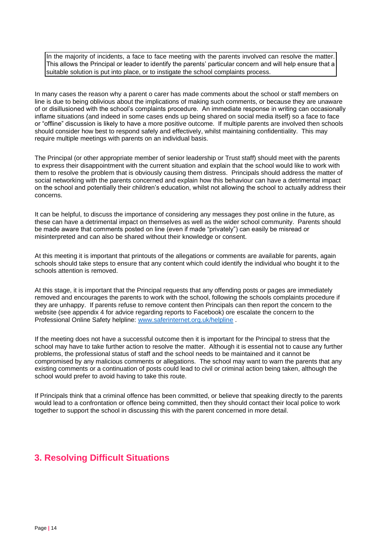In the majority of incidents, a face to face meeting with the parents involved can resolve the matter. This allows the Principal or leader to identify the parents' particular concern and will help ensure that a suitable solution is put into place, or to instigate the school complaints process.

In many cases the reason why a parent o carer has made comments about the school or staff members on line is due to being oblivious about the implications of making such comments, or because they are unaware of or disillusioned with the school's complaints procedure. An immediate response in writing can occasionally inflame situations (and indeed in some cases ends up being shared on social media itself) so a face to face or "offline" discussion is likely to have a more positive outcome. If multiple parents are involved then schools should consider how best to respond safely and effectively, whilst maintaining confidentiality. This may require multiple meetings with parents on an individual basis.

The Principal (or other appropriate member of senior leadership or Trust staff) should meet with the parents to express their disappointment with the current situation and explain that the school would like to work with them to resolve the problem that is obviously causing them distress. Principals should address the matter of social networking with the parents concerned and explain how this behaviour can have a detrimental impact on the school and potentially their children's education, whilst not allowing the school to actually address their concerns.

It can be helpful, to discuss the importance of considering any messages they post online in the future, as these can have a detrimental impact on themselves as well as the wider school community. Parents should be made aware that comments posted on line (even if made "privately") can easily be misread or misinterpreted and can also be shared without their knowledge or consent.

At this meeting it is important that printouts of the allegations or comments are available for parents, again schools should take steps to ensure that any content which could identify the individual who bought it to the schools attention is removed.

At this stage, it is important that the Principal requests that any offending posts or pages are immediately removed and encourages the parents to work with the school, following the schools complaints procedure if they are unhappy. If parents refuse to remove content then Principals can then report the concern to the website (see appendix 4 for advice regarding reports to Facebook) ore escalate the concern to the Professional Online Safety helpline: [www.saferinternet.org.uk/helpline](http://www.saferinternet.org.uk/helpline) [.](http://www.saferinternet.org.uk/helpline) 

If the meeting does not have a successful outcome then it is important for the Principal to stress that the school may have to take further action to resolve the matter. Although it is essential not to cause any further problems, the professional status of staff and the school needs to be maintained and it cannot be compromised by any malicious comments or allegations. The school may want to warn the parents that any existing comments or a continuation of posts could lead to civil or criminal action being taken, although the school would prefer to avoid having to take this route.

If Principals think that a criminal offence has been committed, or believe that speaking directly to the parents would lead to a confrontation or offence being committed, then they should contact their local police to work together to support the school in discussing this with the parent concerned in more detail.

# **3. Resolving Difficult Situations**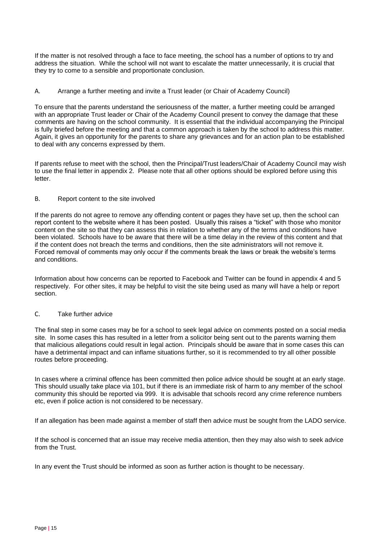If the matter is not resolved through a face to face meeting, the school has a number of options to try and address the situation. While the school will not want to escalate the matter unnecessarily, it is crucial that they try to come to a sensible and proportionate conclusion.

A. Arrange a further meeting and invite a Trust leader (or Chair of Academy Council)

To ensure that the parents understand the seriousness of the matter, a further meeting could be arranged with an appropriate Trust leader or Chair of the Academy Council present to convey the damage that these comments are having on the school community. It is essential that the individual accompanying the Principal is fully briefed before the meeting and that a common approach is taken by the school to address this matter. Again, it gives an opportunity for the parents to share any grievances and for an action plan to be established to deal with any concerns expressed by them.

If parents refuse to meet with the school, then the Principal/Trust leaders/Chair of Academy Council may wish to use the final letter in appendix 2. Please note that all other options should be explored before using this letter.

### B. Report content to the site involved

If the parents do not agree to remove any offending content or pages they have set up, then the school can report content to the website where it has been posted. Usually this raises a "ticket" with those who monitor content on the site so that they can assess this in relation to whether any of the terms and conditions have been violated. Schools have to be aware that there will be a time delay in the review of this content and that if the content does not breach the terms and conditions, then the site administrators will not remove it. Forced removal of comments may only occur if the comments break the laws or break the website's terms and conditions.

Information about how concerns can be reported to Facebook and Twitter can be found in appendix 4 and 5 respectively. For other sites, it may be helpful to visit the site being used as many will have a help or report section.

### C. Take further advice

The final step in some cases may be for a school to seek legal advice on comments posted on a social media site. In some cases this has resulted in a letter from a solicitor being sent out to the parents warning them that malicious allegations could result in legal action. Principals should be aware that in some cases this can have a detrimental impact and can inflame situations further, so it is recommended to try all other possible routes before proceeding.

In cases where a criminal offence has been committed then police advice should be sought at an early stage. This should usually take place via 101, but if there is an immediate risk of harm to any member of the school community this should be reported via 999. It is advisable that schools record any crime reference numbers etc, even if police action is not considered to be necessary.

If an allegation has been made against a member of staff then advice must be sought from the LADO service.

If the school is concerned that an issue may receive media attention, then they may also wish to seek advice from the Trust.

In any event the Trust should be informed as soon as further action is thought to be necessary.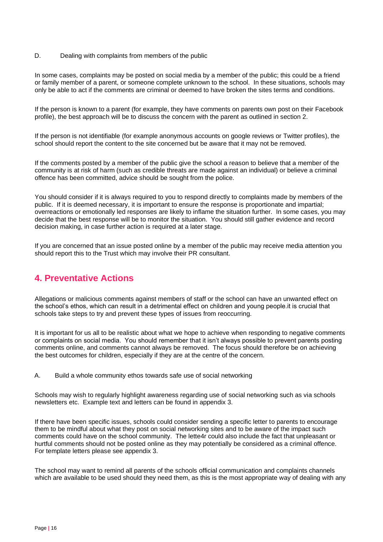### D. Dealing with complaints from members of the public

In some cases, complaints may be posted on social media by a member of the public; this could be a friend or family member of a parent, or someone complete unknown to the school. In these situations, schools may only be able to act if the comments are criminal or deemed to have broken the sites terms and conditions.

If the person is known to a parent (for example, they have comments on parents own post on their Facebook profile), the best approach will be to discuss the concern with the parent as outlined in section 2.

If the person is not identifiable (for example anonymous accounts on google reviews or Twitter profiles), the school should report the content to the site concerned but be aware that it may not be removed.

If the comments posted by a member of the public give the school a reason to believe that a member of the community is at risk of harm (such as credible threats are made against an individual) or believe a criminal offence has been committed, advice should be sought from the police.

You should consider if it is always required to you to respond directly to complaints made by members of the public. If it is deemed necessary, it is important to ensure the response is proportionate and impartial; overreactions or emotionally led responses are likely to inflame the situation further. In some cases, you may decide that the best response will be to monitor the situation. You should still gather evidence and record decision making, in case further action is required at a later stage.

If you are concerned that an issue posted online by a member of the public may receive media attention you should report this to the Trust which may involve their PR consultant.

# **4. Preventative Actions**

Allegations or malicious comments against members of staff or the school can have an unwanted effect on the school's ethos, which can result in a detrimental effect on children and young people.it is crucial that schools take steps to try and prevent these types of issues from reoccurring.

It is important for us all to be realistic about what we hope to achieve when responding to negative comments or complaints on social media. You should remember that it isn't always possible to prevent parents posting comments online, and comments cannot always be removed. The focus should therefore be on achieving the best outcomes for children, especially if they are at the centre of the concern.

A. Build a whole community ethos towards safe use of social networking

Schools may wish to regularly highlight awareness regarding use of social networking such as via schools newsletters etc. Example text and letters can be found in appendix 3.

If there have been specific issues, schools could consider sending a specific letter to parents to encourage them to be mindful about what they post on social networking sites and to be aware of the impact such comments could have on the school community. The lette4r could also include the fact that unpleasant or hurtful comments should not be posted online as they may potentially be considered as a criminal offence. For template letters please see appendix 3.

The school may want to remind all parents of the schools official communication and complaints channels which are available to be used should they need them, as this is the most appropriate way of dealing with any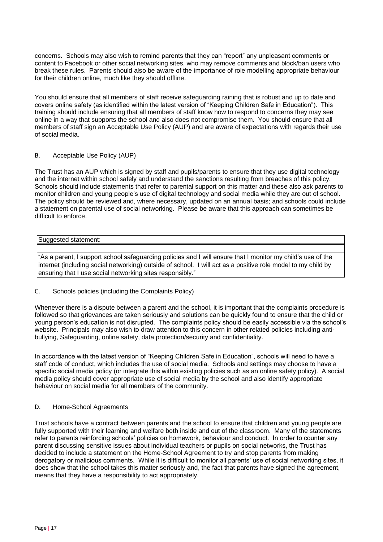concerns. Schools may also wish to remind parents that they can "report" any unpleasant comments or content to Facebook or other social networking sites, who may remove comments and block/ban users who break these rules. Parents should also be aware of the importance of role modelling appropriate behaviour for their children online, much like they should offline.

You should ensure that all members of staff receive safeguarding raining that is robust and up to date and covers online safety (as identified within the latest version of "Keeping Children Safe in Education"). This training should include ensuring that all members of staff know how to respond to concerns they may see online in a way that supports the school and also does not compromise them. You should ensure that all members of staff sign an Acceptable Use Policy (AUP) and are aware of expectations with regards their use of social media.

### B. Acceptable Use Policy (AUP)

The Trust has an AUP which is signed by staff and pupils/parents to ensure that they use digital technology and the internet within school safely and understand the sanctions resulting from breaches of this policy. Schools should include statements that refer to parental support on this matter and these also ask parents to monitor children and young people's use of digital technology and social media while they are out of school. The policy should be reviewed and, where necessary, updated on an annual basis; and schools could include a statement on parental use of social networking. Please be aware that this approach can sometimes be difficult to enforce.

### Suggested statement:

"As a parent, I support school safeguarding policies and I will ensure that I monitor my child's use of the internet (including social networking) outside of school. I will act as a positive role model to my child by ensuring that I use social networking sites responsibly."

### C. Schools policies (including the Complaints Policy)

Whenever there is a dispute between a parent and the school, it is important that the complaints procedure is followed so that grievances are taken seriously and solutions can be quickly found to ensure that the child or young person's education is not disrupted. The complaints policy should be easily accessible via the school's website. Principals may also wish to draw attention to this concern in other related policies including antibullying, Safeguarding, online safety, data protection/security and confidentiality.

In accordance with the latest version of "Keeping Children Safe in Education", schools will need to have a staff code of conduct, which includes the use of social media. Schools and settings may choose to have a specific social media policy (or integrate this within existing policies such as an online safety policy). A social media policy should cover appropriate use of social media by the school and also identify appropriate behaviour on social media for all members of the community.

#### D. Home-School Agreements

Trust schools have a contract between parents and the school to ensure that children and young people are fully supported with their learning and welfare both inside and out of the classroom. Many of the statements refer to parents reinforcing schools' policies on homework, behaviour and conduct. In order to counter any parent discussing sensitive issues about individual teachers or pupils on social networks, the Trust has decided to include a statement on the Home-School Agreement to try and stop parents from making derogatory or malicious comments. While it is difficult to monitor all parents' use of social networking sites, it does show that the school takes this matter seriously and, the fact that parents have signed the agreement, means that they have a responsibility to act appropriately.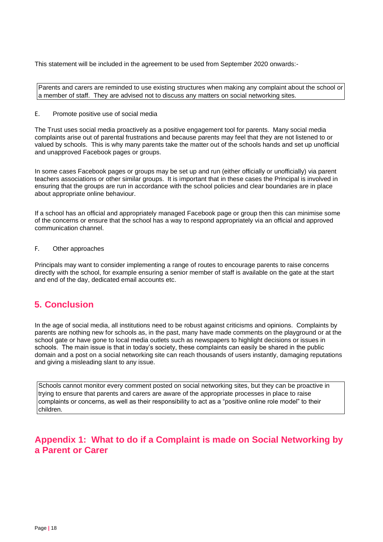This statement will be included in the agreement to be used from September 2020 onwards:-

Parents and carers are reminded to use existing structures when making any complaint about the school or a member of staff. They are advised not to discuss any matters on social networking sites.

#### E. Promote positive use of social media

The Trust uses social media proactively as a positive engagement tool for parents. Many social media complaints arise out of parental frustrations and because parents may feel that they are not listened to or valued by schools. This is why many parents take the matter out of the schools hands and set up unofficial and unapproved Facebook pages or groups.

In some cases Facebook pages or groups may be set up and run (either officially or unofficially) via parent teachers associations or other similar groups. It is important that in these cases the Principal is involved in ensuring that the groups are run in accordance with the school policies and clear boundaries are in place about appropriate online behaviour.

If a school has an official and appropriately managed Facebook page or group then this can minimise some of the concerns or ensure that the school has a way to respond appropriately via an official and approved communication channel.

### F. Other approaches

Principals may want to consider implementing a range of routes to encourage parents to raise concerns directly with the school, for example ensuring a senior member of staff is available on the gate at the start and end of the day, dedicated email accounts etc.

# **5. Conclusion**

In the age of social media, all institutions need to be robust against criticisms and opinions. Complaints by parents are nothing new for schools as, in the past, many have made comments on the playground or at the school gate or have gone to local media outlets such as newspapers to highlight decisions or issues in schools. The main issue is that in today's society, these complaints can easily be shared in the public domain and a post on a social networking site can reach thousands of users instantly, damaging reputations and giving a misleading slant to any issue.

Schools cannot monitor every comment posted on social networking sites, but they can be proactive in trying to ensure that parents and carers are aware of the appropriate processes in place to raise complaints or concerns, as well as their responsibility to act as a "positive online role model" to their children.

# **Appendix 1: What to do if a Complaint is made on Social Networking by a Parent or Carer**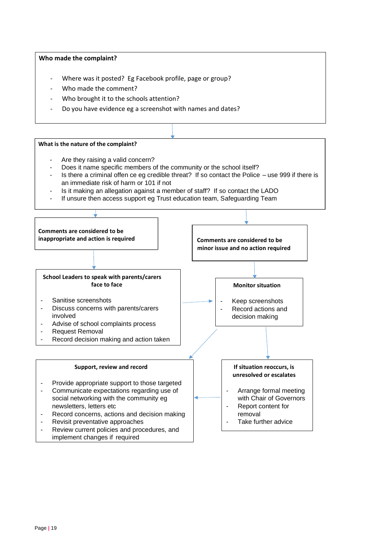### **Who made the complaint?**

- Where was it posted? Eg Facebook profile, page or group?
- Who made the comment?
- Who brought it to the schools attention?
- Do you have evidence eg a screenshot with names and dates?

#### **What is the nature of the complaint?**

- Are they raising a valid concern?
- Does it name specific members of the community or the school itself?
- Is there a criminal offen ce eg credible threat? If so contact the Police use 999 if there is an immediate risk of harm or 101 if not
- Is it making an allegation against a member of staff? If so contact the LADO
- If unsure then access support eg Trust education team, Safeguarding Team

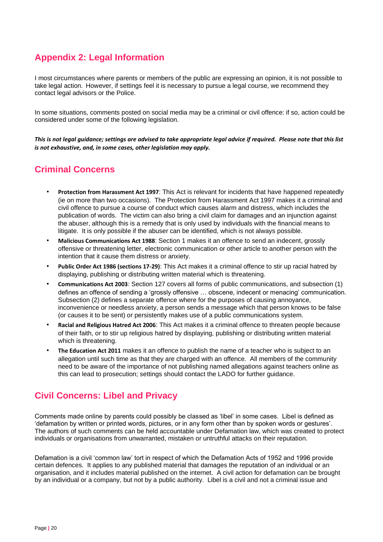# **Appendix 2: Legal Information**

I most circumstances where parents or members of the public are expressing an opinion, it is not possible to take legal action.However, if settings feel it is necessary to pursue a legal course, we recommend they contact legal advisors or the Police.

In some situations, comments posted on social media may be a criminal or civil offence: if so, action could be considered under some of the following legislation.

*This is not legal guidance; settings are advised to take appropriate legal advice if required. Please note that this list is not exhaustive, and, in some cases, other legislation may apply.*

# **Criminal Concerns**

- **Protection from Harassment Act 1997**: This Act is relevant for incidents that have happened repeatedly (ie on more than two occasions). The Protection from Harassment Act 1997 makes it a criminal and civil offence to pursue a course of conduct which causes alarm and distress, which includes the publication of words. The victim can also bring a civil claim for damages and an injunction against the abuser, although this is a remedy that is only used by individuals with the financial means to litigate. It is only possible if the abuser can be identified, which is not always possible.
- **Malicious Communications Act 1988**: Section 1 makes it an offence to send an indecent, grossly offensive or threatening letter, electronic communication or other article to another person with the intention that it cause them distress or anxiety.
- **Public Order Act 1986 (sections 17-29)**: This Act makes it a criminal offence to stir up racial hatred by displaying, publishing or distributing written material which is threatening.
- **Communications Act 2003**: Section 127 covers all forms of public communications, and subsection (1) defines an offence of sending a 'grossly offensive … obscene, indecent or menacing' communication. Subsection (2) defines a separate offence where for the purposes of causing annoyance, inconvenience or needless anxiety, a person sends a message which that person knows to be false (or causes it to be sent) or persistently makes use of a public communications system.
- **Racial and Religious Hatred Act 2006**: This Act makes it a criminal offence to threaten people because of their faith, or to stir up religious hatred by displaying, publishing or distributing written material which is threatening.
- **The Education Act 2011** makes it an offence to publish the name of a teacher who is subject to an allegation until such time as that they are charged with an offence. All members of the community need to be aware of the importance of not publishing named allegations against teachers online as this can lead to prosecution; settings should contact the LADO for further guidance.

# **Civil Concerns: Libel and Privacy**

Comments made online by parents could possibly be classed as 'libel' in some cases. Libel is defined as 'defamation by written or printed words, pictures, or in any form other than by spoken words or gestures'. The authors of such comments can be held accountable under Defamation law, which was created to protect individuals or organisations from unwarranted, mistaken or untruthful attacks on their reputation.

Defamation is a civil 'common law' tort in respect of which the Defamation Acts of 1952 and 1996 provide certain defences. It applies to any published material that damages the reputation of an individual or an organisation, and it includes material published on the internet. A civil action for defamation can be brought by an individual or a company, but not by a public authority. Libel is a civil and not a criminal issue and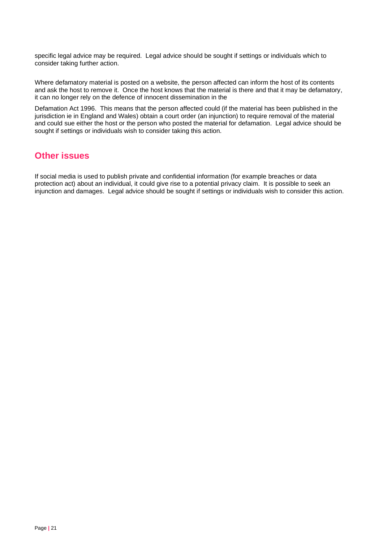specific legal advice may be required. Legal advice should be sought if settings or individuals which to consider taking further action.

Where defamatory material is posted on a website, the person affected can inform the host of its contents and ask the host to remove it. Once the host knows that the material is there and that it may be defamatory, it can no longer rely on the defence of innocent dissemination in the

Defamation Act 1996. This means that the person affected could (if the material has been published in the jurisdiction ie in England and Wales) obtain a court order (an injunction) to require removal of the material and could sue either the host or the person who posted the material for defamation. Legal advice should be sought if settings or individuals wish to consider taking this action.

### **Other issues**

If social media is used to publish private and confidential information (for example breaches or data protection act) about an individual, it could give rise to a potential privacy claim. It is possible to seek an injunction and damages. Legal advice should be sought if settings or individuals wish to consider this action.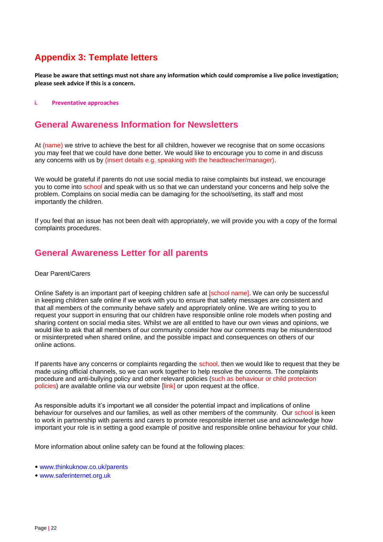# **Appendix 3: Template letters**

**Please be aware that settings must not share any information which could compromise a live police investigation; please seek advice if this is a concern.** 

#### **i. Preventative approaches**

### **General Awareness Information for Newsletters**

At (name) we strive to achieve the best for all children, however we recognise that on some occasions you may feel that we could have done better. We would like to encourage you to come in and discuss any concerns with us by (insert details e.g. speaking with the headteacher/manager).

We would be grateful if parents do not use social media to raise complaints but instead, we encourage you to come into school and speak with us so that we can understand your concerns and help solve the problem. Complains on social media can be damaging for the school/setting, its staff and most importantly the children.

If you feel that an issue has not been dealt with appropriately, we will provide you with a copy of the formal complaints procedures.

### **General Awareness Letter for all parents**

#### Dear Parent/Carers

Online Safety is an important part of keeping children safe at [school name]. We can only be successful in keeping children safe online if we work with you to ensure that safety messages are consistent and that all members of the community behave safely and appropriately online. We are writing to you to request your support in ensuring that our children have responsible online role models when posting and sharing content on social media sites. Whilst we are all entitled to have our own views and opinions, we would like to ask that all members of our community consider how our comments may be misunderstood or misinterpreted when shared online, and the possible impact and consequences on others of our online actions.

If parents have any concerns or complaints regarding the school, then we would like to request that they be made using official channels, so we can work together to help resolve the concerns. The complaints procedure and anti-bullying policy and other relevant policies (such as behaviour or child protection policies) are available online via our website [link] or upon request at the office.

As responsible adults it's important we all consider the potential impact and implications of online behaviour for ourselves and our families, as well as other members of the community. Our school is keen to work in partnership with parents and carers to promote responsible internet use and acknowledge how important your role is in setting a good example of positive and responsible online behaviour for your child.

More information about online safety can be found at the following places:

- www.thinkuknow.co.uk/parents
- www.saferinternet.org.uk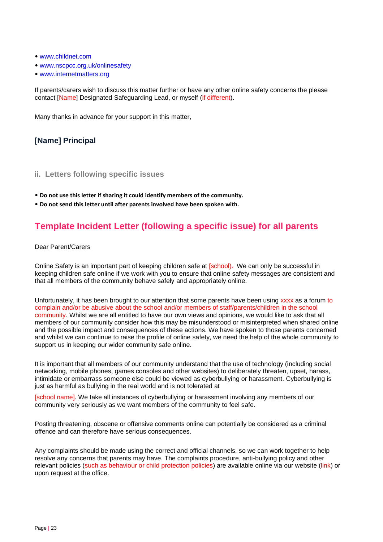- www.childnet.com
- www.nscpcc.org.uk/onlinesafety
- www.internetmatters.org

If parents/carers wish to discuss this matter further or have any other online safety concerns the please contact [Name] Designated Safeguarding Lead, or myself (if different).

Many thanks in advance for your support in this matter,

### **[Name] Principal**

- **ii. Letters following specific issues**
- **Do not use this letter if sharing it could identify members of the community.**
- **Do not send this letter until after parents involved have been spoken with.**

# **Template Incident Letter (following a specific issue) for all parents**

Dear Parent/Carers

Online Safety is an important part of keeping children safe at [school]. We can only be successful in keeping children safe online if we work with you to ensure that online safety messages are consistent and that all members of the community behave safely and appropriately online.

Unfortunately, it has been brought to our attention that some parents have been using xxxx as a forum to complain and/or be abusive about the school and/or members of staff/parents/children in the school community. Whilst we are all entitled to have our own views and opinions, we would like to ask that all members of our community consider how this may be misunderstood or misinterpreted when shared online and the possible impact and consequences of these actions. We have spoken to those parents concerned and whilst we can continue to raise the profile of online safety, we need the help of the whole community to support us in keeping our wider community safe online.

It is important that all members of our community understand that the use of technology (including social networking, mobile phones, games consoles and other websites) to deliberately threaten, upset, harass, intimidate or embarrass someone else could be viewed as cyberbullying or harassment. Cyberbullying is just as harmful as bullying in the real world and is not tolerated at

[school name]. We take all instances of cyberbullying or harassment involving any members of our community very seriously as we want members of the community to feel safe.

Posting threatening, obscene or offensive comments online can potentially be considered as a criminal offence and can therefore have serious consequences.

Any complaints should be made using the correct and official channels, so we can work together to help resolve any concerns that parents may have. The complaints procedure, anti-bullying policy and other relevant policies (such as behaviour or child protection policies) are available online via our website (link) or upon request at the office.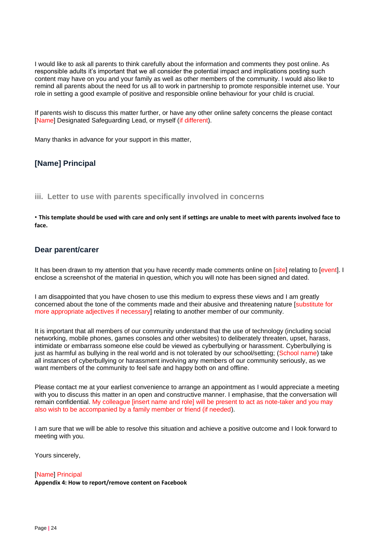I would like to ask all parents to think carefully about the information and comments they post online. As responsible adults it's important that we all consider the potential impact and implications posting such content may have on you and your family as well as other members of the community. I would also like to remind all parents about the need for us all to work in partnership to promote responsible internet use. Your role in setting a good example of positive and responsible online behaviour for your child is crucial.

If parents wish to discuss this matter further, or have any other online safety concerns the please contact [Name] Designated Safeguarding Lead, or myself (if different).

Many thanks in advance for your support in this matter,

### **[Name] Principal**

**iii. Letter to use with parents specifically involved in concerns** 

• **This template should be used with care and only sent if settings are unable to meet with parents involved face to face.** 

### **Dear parent/carer**

It has been drawn to my attention that you have recently made comments online on [site] relating to [event]. I enclose a screenshot of the material in question, which you will note has been signed and dated.

I am disappointed that you have chosen to use this medium to express these views and I am greatly concerned about the tone of the comments made and their abusive and threatening nature [substitute for more appropriate adjectives if necessary] relating to another member of our community.

It is important that all members of our community understand that the use of technology (including social networking, mobile phones, games consoles and other websites) to deliberately threaten, upset, harass, intimidate or embarrass someone else could be viewed as cyberbullying or harassment. Cyberbullying is just as harmful as bullying in the real world and is not tolerated by our school/setting; (School name) take all instances of cyberbullying or harassment involving any members of our community seriously, as we want members of the community to feel safe and happy both on and offline.

Please contact me at your earliest convenience to arrange an appointment as I would appreciate a meeting with you to discuss this matter in an open and constructive manner. I emphasise, that the conversation will remain confidential. My colleague [insert name and role] will be present to act as note-taker and you may also wish to be accompanied by a family member or friend (if needed).

I am sure that we will be able to resolve this situation and achieve a positive outcome and I look forward to meeting with you.

Yours sincerely,

#### [Name] Principal

**Appendix 4: How to report/remove content on Facebook**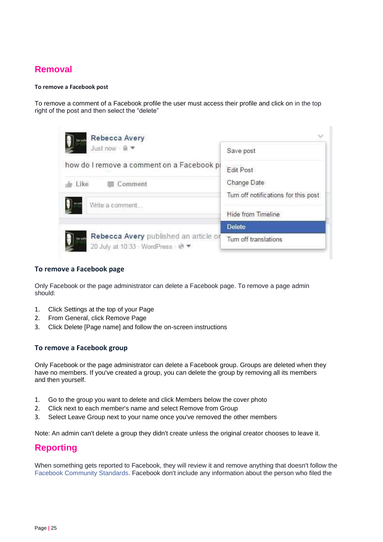# **Removal**

### **To remove a Facebook post**

To remove a comment of a Facebook profile the user must access their profile and click on in the top right of the post and then select the "delete"

| Rebecca Avery                                                               |                                      |
|-----------------------------------------------------------------------------|--------------------------------------|
| Just now - @                                                                | Save post                            |
| how do I remove a comment on a Facebook pi                                  | Edit Post                            |
| Like<br>Comment                                                             | Change Date                          |
| Write a comment                                                             | Turn off notifications for this post |
|                                                                             | Hide from Timeline                   |
|                                                                             | <b>Delete</b>                        |
| Rebecca Avery published an article or<br>20 July at 10:33 · WordPress · @ ▼ | Turn off translations                |

### **To remove a Facebook page**

Only Facebook or the page administrator can delete a Facebook page. To remove a page admin should:

- 1. Click Settings at the top of your Page
- 2. From General, click Remove Page
- 3. Click Delete [Page name] and follow the on-screen instructions

### **To remove a Facebook group**

Only Facebook or the page administrator can delete a Facebook group. Groups are deleted when they have no members. If you've created a group, you can delete the group by removing all its members and then yourself.

- 1. Go to the group you want to delete and click Members below the cover photo
- 2. Click next to each member's name and select Remove from Group
- 3. Select Leave Group next to your name once you've removed the other members

Note: An admin can't delete a group they didn't create unless the original creator chooses to leave it.

# **Reporting**

When something gets reported to Facebook, they will review it and remove anything that doesn't follow the Facebook Community Standards. Facebook don't include any information about the person who filed the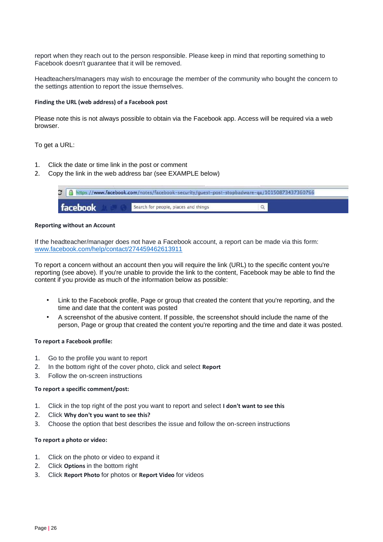report when they reach out to the person responsible. Please keep in mind that reporting something to Facebook doesn't guarantee that it will be removed.

Headteachers/managers may wish to encourage the member of the community who bought the concern to the settings attention to report the issue themselves.

#### **Finding the URL (web address) of a Facebook post**

Please note this is not always possible to obtain via the Facebook app. Access will be required via a web browser.

To get a URL:

- 1. Click the date or time link in the post or comment
- 2. Copy the link in the web address bar (see EXAMPLE below)



#### **Reporting without an Account**

If the headteacher/manager does not have a Facebook account, a report can be made via this form: [www.facebook.com/help/contact/274459462613911](http://www.facebook.com/help/contact/274459462613911)

To report a concern without an account then you will require the link (URL) to the specific content you're reporting (see above). If you're unable to provide the link to the content, Facebook may be able to find the content if you provide as much of the information below as possible:

- Link to the Facebook profile, Page or group that created the content that you're reporting, and the time and date that the content was posted
- A screenshot of the abusive content. If possible, the screenshot should include the name of the person, Page or group that created the content you're reporting and the time and date it was posted.

#### **To report a Facebook profile:**

- 1. Go to the profile you want to report
- 2. In the bottom right of the cover photo, click and select **Report**
- 3. Follow the on-screen instructions

#### **To report a specific comment/post:**

- 1. Click in the top right of the post you want to report and select **I don't want to see this**
- 2. Click **Why don't you want to see this?**
- 3. Choose the option that best describes the issue and follow the on-screen instructions

#### **To report a photo or video:**

- 1. Click on the photo or video to expand it
- 2. Click **Options** in the bottom right
- 3. Click **Report Photo** for photos or **Report Video** for videos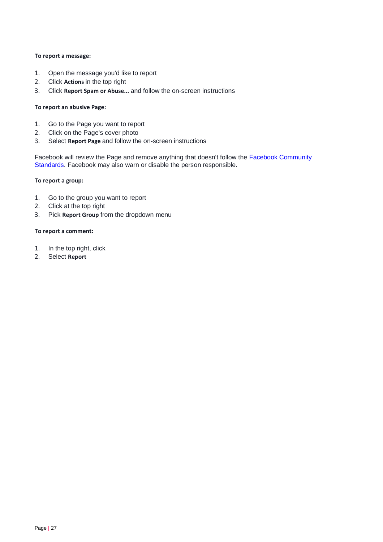### **To report a message:**

- 1. Open the message you'd like to report
- 2. Click **Actions** in the top right
- 3. Click **Report Spam or Abuse...** and follow the on-screen instructions

### **To report an abusive Page:**

- 1. Go to the Page you want to report
- 2. Click on the Page's cover photo
- 3. Select **Report Page** and follow the on-screen instructions

Facebook will review the Page and remove anything that doesn't follow the Facebook Community Standards. Facebook may also warn or disable the person responsible.

#### **To report a group:**

- 1. Go to the group you want to report
- 2. Click at the top right
- 3. Pick **Report Group** from the dropdown menu

#### **To report a comment:**

- 1. In the top right, click
- 2. Select **Report**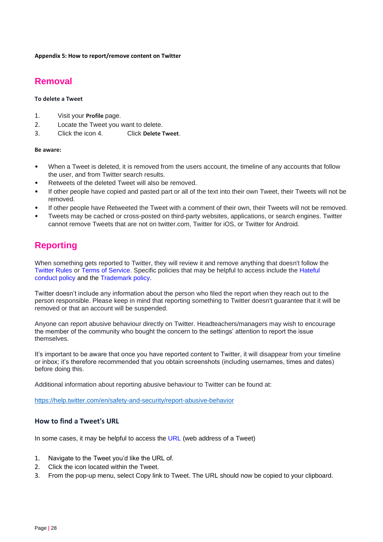**Appendix 5: How to report/remove content on Twitter** 

# **Removal**

### **To delete a Tweet**

- 1. Visit your **Profile** page.
- 2. Locate the Tweet you want to delete.
- 3. Click the icon 4. Click **Delete Tweet**.

#### **Be aware:**

- When a Tweet is deleted, it is removed from the users account, the timeline of any accounts that follow the user, and from Twitter search results.
- Retweets of the deleted Tweet will also be removed.
- If other people have copied and pasted part or all of the text into their own Tweet, their Tweets will not be removed.
- If other people have Retweeted the Tweet with a comment of their own, their Tweets will not be removed.
- Tweets may be cached or cross-posted on third-party websites, applications, or search engines. Twitter cannot remove Tweets that are not on twitter.com, Twitter for iOS, or Twitter for Android.

# **Reporting**

When something gets reported to Twitter, they will review it and remove anything that doesn't follow the Twitter Rules or Terms of Service. Specific policies that may be helpful to access include the Hateful conduct policy and the Trademark policy.

Twitter doesn't include any information about the person who filed the report when they reach out to the person responsible. Please keep in mind that reporting something to Twitter doesn't guarantee that it will be removed or that an account will be suspended.

Anyone can report abusive behaviour directly on Twitter. Headteachers/managers may wish to encourage the member of the community who bought the concern to the settings' attention to report the issue themselves.

It's important to be aware that once you have reported content to Twitter, it will disappear from your timeline or inbox; it's therefore recommended that you obtain screenshots (including usernames, times and dates) before doing this.

Additional information about reporting abusive behaviour to Twitter can be found at:

<https://help.twitter.com/en/safety-and-security/report-abusive-behavior>

### **How to find a Tweet's URL**

In some cases, it may be helpful to access the URL (web address of a Tweet)

- 1. Navigate to the Tweet you'd like the URL of.
- 2. Click the icon located within the Tweet.
- 3. From the pop-up menu, select Copy link to Tweet. The URL should now be copied to your clipboard.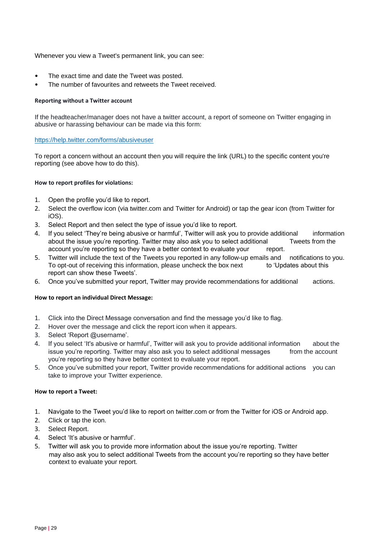Whenever you view a Tweet's permanent link, you can see:

- The exact time and date the Tweet was posted.
- The number of favourites and retweets the Tweet received.

#### **Reporting without a Twitter account**

If the headteacher/manager does not have a twitter account, a report of someone on Twitter engaging in abusive or harassing behaviour can be made via this form:

### <https://help.twitter.com/forms/abusiveuser>

To report a concern without an account then you will require the link (URL) to the specific content you're reporting (see above how to do this).

### **How to report profiles for violations:**

- 1. Open the profile you'd like to report.
- 2. Select the overflow icon (via twitter.com and Twitter for Android) or tap the gear icon (from Twitter for iOS).
- 3. Select Report and then select the type of issue you'd like to report.
- 4. If you select 'They're being abusive or harmful', Twitter will ask you to provide additional information about the issue you're reporting. Twitter may also ask you to select additional Tweets from the account you're reporting so they have a better context to evaluate your report.
- 5. Twitter will include the text of the Tweets you reported in any follow-up emails and notifications to you. To opt-out of receiving this information, please uncheck the box next to 'Updates about this report can show these Tweets'.
- 6. Once you've submitted your report, Twitter may provide recommendations for additional actions.

#### **How to report an individual Direct Message:**

- 1. Click into the Direct Message conversation and find the message you'd like to flag.
- 2. Hover over the message and click the report icon when it appears.
- 3. Select 'Report @username'.
- 4. If you select 'It's abusive or harmful', Twitter will ask you to provide additional information about the issue you're reporting. Twitter may also ask you to select additional messages from the account you're reporting so they have better context to evaluate your report.
- 5. Once you've submitted your report, Twitter provide recommendations for additional actions you can take to improve your Twitter experience.

#### **How to report a Tweet:**

- 1. Navigate to the Tweet you'd like to report on twitter.com or from the Twitter for iOS or Android app.
- 2. Click or tap the icon.
- 3. Select Report.
- 4. Select 'It's abusive or harmful'.
- 5. Twitter will ask you to provide more information about the issue you're reporting. Twitter may also ask you to select additional Tweets from the account you're reporting so they have better context to evaluate your report.